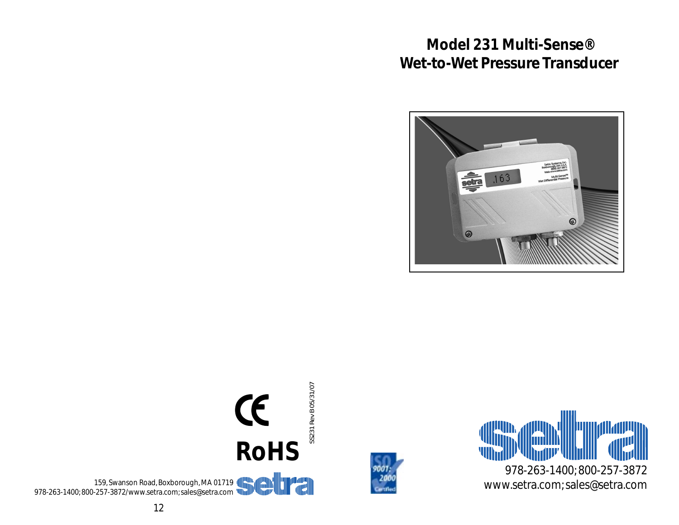# **Model 231 Multi-Sense® Wet-to-Wet Pressure Transducer**







SS231 Rev B 05/31/07 SS231 Rev B 05/31/07 CE **RoHS**159, Swanson Road, Boxborough, MA 01719 978-263-1400; 800-257-3872/www.setra.com; sales@setra.com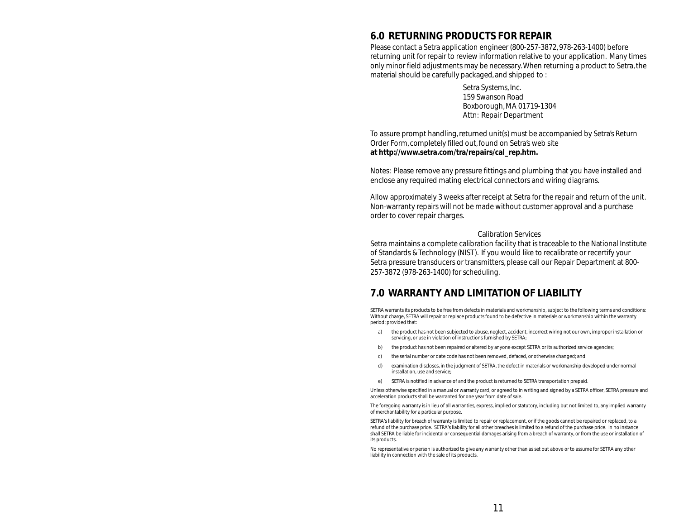## **6.0 RETURNING PRODUCTS FOR REPAIR**

<span id="page-1-0"></span>Please contact a Setra application engineer (800-257-3872, 978-263-1400) before returning unit for repair to review information relative to your application. Many times only minor field adjustments may be necessary. When returning a product to Setra, the material should be carefully packaged, and shipped to :

> Setra Systems, Inc. 159 Swanson Road Boxborough, MA 01719-1304 Attn: Repair Department

To assure prompt handling, returned unit(s) must be accompanied by Setra's Return Order Form, completely filled out, found on Setra's web site **at http://www.setra.com/tra/repairs/cal\_rep.htm.**

Notes: Please remove any pressure fittings and plumbing that you have installed and enclose any required mating electrical connectors and wiring diagrams.

Allow approximately 3 weeks after receipt at Setra for the repair and return of the unit. Non-warranty repairs will not be made without customer approval and a purchase order to cover repair charges.

#### Calibration Services

Setra maintains a complete calibration facility that is traceable to the National Institute of Standards & Technology (NIST). If you would like to recalibrate or recertify your Setra pressure transducers or transmitters, please call our Repair Department at 800- 257-3872 (978-263-1400) for scheduling.

### **7.0 WARRANTY AND LIMITATION OF LIABILITY**

SETRA warrants its products to be free from defects in materials and workmanship, subject to the following terms and conditions : Without charge, SETRA will repair or replace products found to be defective in materials or workmanship within the warranty period; provided that:

- a) the product has not been subjected to abuse, neglect, accident, incorrect wiring not our own, improper installation or servicing, or use in violation of instructions furnished by SETRA;
- b) the product has not been repaired or altered by anyone except SETRA or its authorized service agencies;
- c) the serial number or date code has not been removed, defaced, or otherwise changed; and
- d) examination discloses, in the judgment of SETRA, the defect in materials or workmanship developed under normal installation, use and service;
- e) SETRA is notified in advance of and the product is returned to SETRA transportation prepaid.

Unless otherwise specified in a manual or warranty card, or agreed to in writing and signed by a SETRA officer, SETRA pressure and acceleration products shall be warranted for one year from date of sale.

The foregoing warranty is in lieu of all warranties, express, implied or statutory, including but not limited to, any implied warranty of merchantability for a particular purpose.

SETRA 's liability for breach of warranty is limited to repair or replacement, or if the goods cannot be repaired or replaced, to a refund of the purchase price. SETRA's liability for all other breaches is limited to a refund of the purchase price. In no instance shall SETRA be liable for incidental or consequential damages arising from a breach of warranty, or from the use or installation of its products.

No representative or person is authorized to give any warranty other than as set out above or to assume for SETRA any other liability in connection with the sale of its products.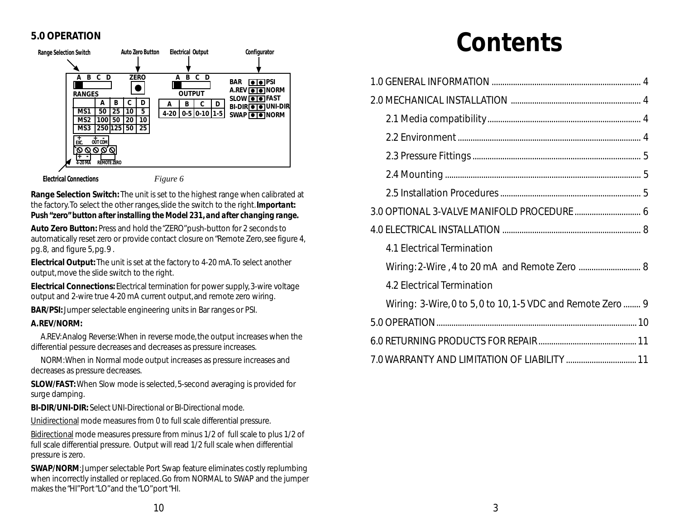## **5.0 OPERATION**



**Electrical Connections**

*Figure 6*

**Range Selection Switch:** The unit is set to the highest range when calibrated at the factory. To select the other ranges, slide the switch to the right. *Important: Push "zero" button after installing the Model 231, and after changing range.*

**Auto Zero Button:** Press and hold the "ZERO" push-button for 2 seconds to automatically reset zero or provide contact closure on "Remote Zero, see figure 4, pg. 8, and figure 5, pg. 9 .

**Electrical Output:** The unit is set at the factory to 4-20 mA. To select another output, move the slide switch to the right.

**Electrical Connections:** Electrical termination for power supply, 3-wire voltage output and 2-wire true 4-20 mA current output, and remote zero wiring.

**BAR/PSI:** Jumper selectable engineering units in Bar ranges or PSI.

#### **A. REV/NORM:**

A.REV: Analog Reverse: When in reverse mode, the output increases when the differential pessure decreases and decreases as pressure increases.

NORM: When in Normal mode output increases as pressure increases and decreases as pressure decreases.

**SLOW/FAST:** When Slow mode is selected, 5-second averaging is provided for surge damping.

**BI-DIR/UNI-DIR:** Select UNI-Directional or BI-Directional mode.

Unidirectional mode measures from 0 to full scale differential pressure.

Bidirectional mode measures pressure from minus 1/2 of full scale to plus 1/2 of full scale differential pressure. Output will read 1/2 full scale when differential pressure is zero.

**SWAP/NORM**: Jumper selectable Port Swap feature eliminates costly replumbing when incorrectly installed or replaced. Go from NORMAL to SWAP and the jumper makes the "HI" Port "LO" and the "LO" port "HI.

# **Contents**

| 4.1 Electrical Termination                                  |  |  |
|-------------------------------------------------------------|--|--|
| Wiring: 2-Wire, 4 to 20 mA and Remote Zero  8               |  |  |
| 4.2 Electrical Termination                                  |  |  |
| Wiring: 3-Wire, 0 to 5, 0 to 10, 1-5 VDC and Remote Zero  9 |  |  |
|                                                             |  |  |
|                                                             |  |  |
| 7.0 WARRANTY AND LIMITATION OF LIABILITY  11                |  |  |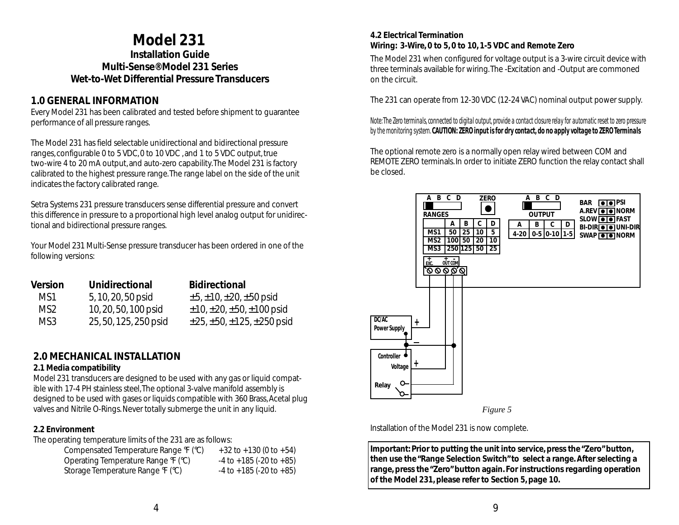## **Model 231**

<span id="page-3-0"></span>**Installation Guide Multi-Sense® Model 231 Series Wet-to-Wet Differential Pressure Transducers**

## **1.0 GENERAL INFORMATION**

Every Model 231 has been calibrated and tested before shipment to guarantee performance of all pressure ranges.

The Model 231 has field selectable unidirectional and bidirectional pressure ranges, configurable 0 to 5 VDC, 0 to 10 VDC , and 1 to 5 VDC output, true two-wire 4 to 20 mA output, and auto-zero capability. The Model 231 is factory calibrated to the highest pressure range. The range label on the side of the unit indicates the factory calibrated range.

Setra Systems 231 pressure transducers sense differential pressure and convert this difference in pressure to a proportional high level analog output for unidirectional and bidirectional pressure ranges.

Your Model 231 Multi-Sense pressure transducer has been ordered in one of the following versions:

| <b>Version</b> | Unidirectional        | <b>Bidirectional</b>                          |
|----------------|-----------------------|-----------------------------------------------|
| MS1            | 5, 10, 20, 50 psid    | $\pm 5, \pm 10, \pm 20, \pm 50$ psid          |
| MS2            | 10, 20, 50, 100 psid  | $\pm$ 10, $\pm$ 20, $\pm$ 50, $\pm$ 100 psid  |
| MS3            | 25, 50, 125, 250 psid | $\pm$ 25, $\pm$ 50, $\pm$ 125, $\pm$ 250 psid |

## **2.0 MECHANICAL INSTALLATION**

### **2.1 Media compatibility**

Model 231 transducers are designed to be used with any gas or liquid compatible with 17-4 PH stainless steel, The optional 3-valve manifold assembly is designed to be used with gases or liquids compatible with 360 Brass, Acetal plug valves and Nitrile O-Rings. Never totally submerge the unit in any liquid.

## **2.2 Environment**

The operating temperature limits of the 231 are as follows:

| Compensated Temperature Range F (°C) | $+32$ to $+130$ (0 to $+54$ )     |
|--------------------------------------|-----------------------------------|
| Operating Temperature Range F (°C)   | $-4$ to $+185$ (-20 to $+85$ )    |
| Storage Temperature Range F (°C)     | $-4$ to $+185$ ( $-20$ to $+85$ ) |

## **4.2 Electrical Termination Wiring: 3-Wire, 0 to 5, 0 to 10, 1-5 VDC and Remote Zero**

The Model 231 when configured for voltage output is a 3-wire circuit device with three terminals available for wiring. The -Excitation and -Output are commoned on the circuit.

The 231 can operate from 12-30 VDC (12-24 VAC) nominal output power supply.

*Note: The Zero terminals, connected to digital output, provide a contact closure relay for automatic reset to zero pressure by the monitoring system. CAUTION: ZERO input is for dry contact, do no apply voltage to ZERO Terminals*

The optional remote zero is a normally open relay wired between COM and REMOTE ZERO terminals. In order to initiate ZERO function the relay contact shall be closed.



*Figure 5*

Installation of the Model 231 is now complete.

**Important: Prior to putting the unit into service, press the "Zero" button, then use the "Range Selection Switch" to select a range. After selecting a range, press the "Zero" button again. For instructions regarding operation of the Model 231, please refer to Section 5, page 10.**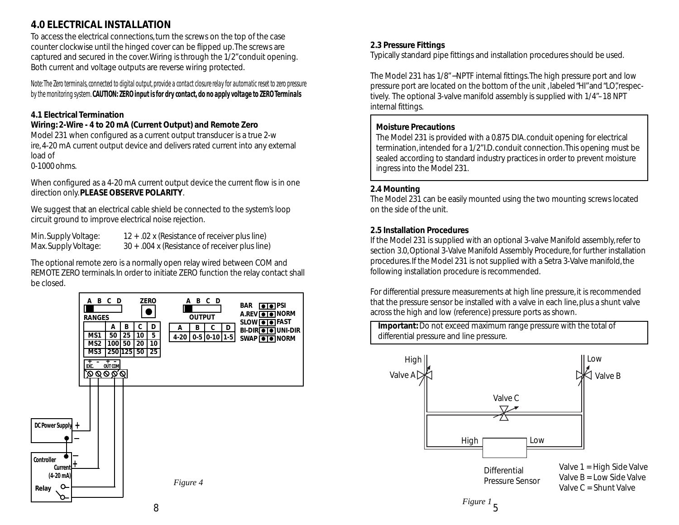## <span id="page-4-0"></span>**4.0 ELECTRICAL INSTALLATION**

To access the electrical connections, turn the screws on the top of the case counter clockwise until the hinged cover can be flipped up. The screws are captured and secured in the cover. Wiring is through the 1/2" conduit opening. Both current and voltage outputs are reverse wiring protected.

*Note: The Zero terminals, connected to digital output, provide a contact closure relay for automatic reset to zero pressure by the monitoring system. CAUTION: ZERO input is for dry contact, do no apply voltage to ZERO Terminals*

## **4.1 Electrical Termination**

## **Wiring: 2-Wire - 4 to 20 mA (Current Output) and Remote Zero**

Model 231 when configured as a current output transducer is a true 2-w ire, 4-20 mA current output device and delivers rated current into any external load of

0-1000 ohms.

When configured as a 4-20 mA current output device the current flow is in one direction only. **PLEASE OBSERVE POLARITY**.

We suggest that an electrical cable shield be connected to the system's loop circuit ground to improve electrical noise rejection.

Min. Supply Voltage: 12 + .02 x (Resistance of receiver plus line) Max. Supply Voltage:  $30 + .004$  x (Resistance of receiver plus line)

The optional remote zero is a normally open relay wired between COM and REMOTE ZERO terminals. In order to initiate ZERO function the relay contact shall be closed.



## **2.3 Pressure Fittings**

Typically standard pipe fittings and installation procedures should be used.

The Model 231 has 1/8"−NPTF internal fittings. The high pressure port and low pressure port are located on the bottom of the unit , labeled "HI" and "LO", respectively. The optional 3-valve manifold assembly is supplied with 1/4"–18 NPT internal fittings.

## **Moisture Precautions**

The Model 231 is provided with a 0.875 DIA. conduit opening for electrical termination, intended for a 1/2" I.D. conduit connection. This opening must be sealed according to standard industry practices in order to prevent moisture ingress into the Model 231.

## **2.4 Mounting**

The Model 231 can be easily mounted using the two mounting screws located on the side of the unit.

### **2.5 Installation Procedures**

If the Model 231 is supplied with an optional 3-valve Manifold assembly, refer to section 3.0, Optional 3-Valve Manifold Assembly Procedure, for further installation procedures. If the Model 231 is not supplied with a Setra 3-Valve manifold, the following installation procedure is recommended.

For differential pressure measurements at high line pressure, it is recommended that the pressure sensor be installed with a valve in each line, plus a shunt valve across the high and low (reference) pressure ports as shown.

**Important:** Do not exceed maximum range pressure with the total of differential pressure and line pressure.